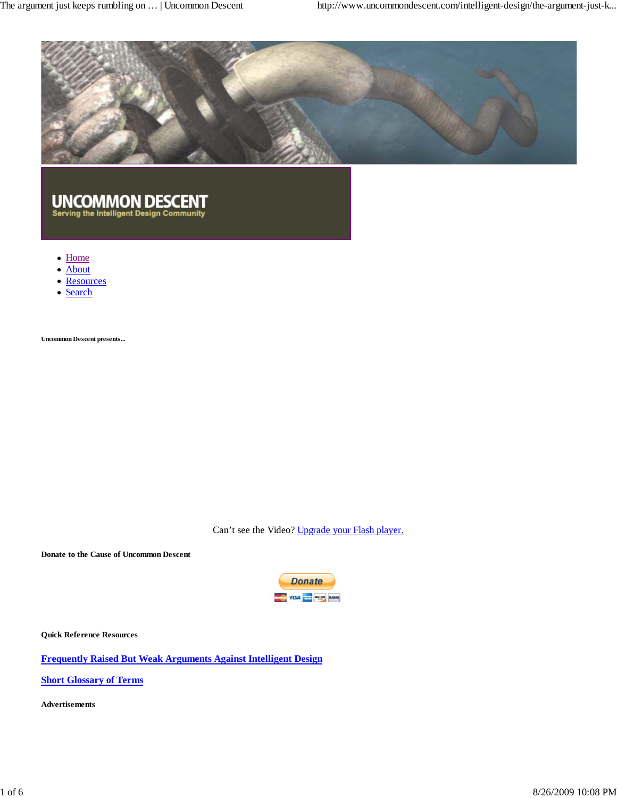

# UNCOMMON DESCENT<br>Serving the Intelligent Design Community

- Home
- About
- Resources
- Search

**Uncommon Descent presents...**

Can't see the Video? Upgrade your Flash player.

**Donate to the Cause of Uncommon Descent**



**Quick Reference Resources**

**Frequently Raised But Weak Arguments Against Intelligent Design**

**Short Glossary of Terms**

**Advertisements**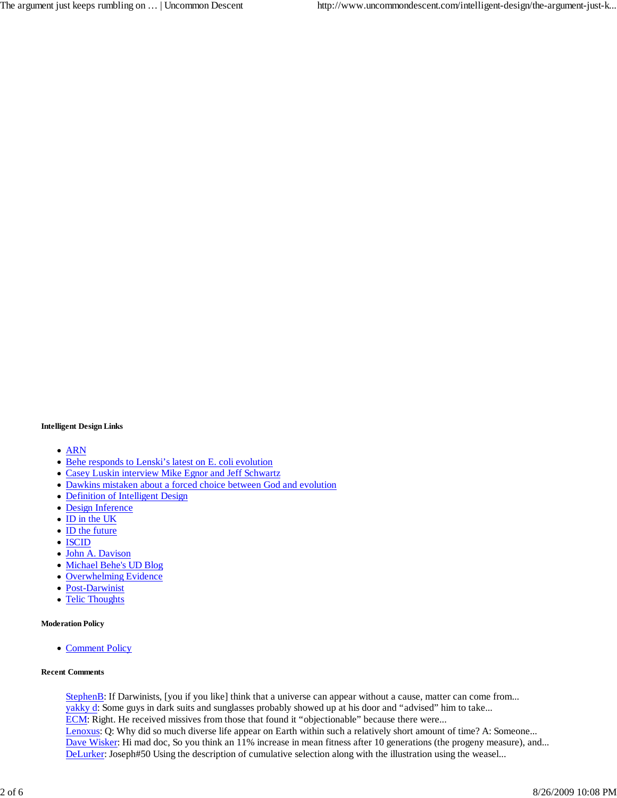#### **Intelligent Design Links**

- ARN
- Behe responds to Lenski's latest on E. coli evolution
- Casey Luskin interview Mike Egnor and Jeff Schwartz
- Dawkins mistaken about a forced choice between God and evolution
- Definition of Intelligent Design
- Design Inference
- ID in the UK
- ID the future
- ISCID
- John A. Davison
- Michael Behe's UD Blog
- Overwhelming Evidence
- Post-Darwinist
- Telic Thoughts  $\bullet$

#### **Moderation Policy**

• Comment Policy

#### **Recent Comments**

StephenB: If Darwinists, [you if you like] think that a universe can appear without a cause, matter can come from... yakky d: Some guys in dark suits and sunglasses probably showed up at his door and "advised" him to take... ECM: Right. He received missives from those that found it "objectionable" because there were... Lenoxus: Q: Why did so much diverse life appear on Earth within such a relatively short amount of time? A: Someone... Dave Wisker: Hi mad doc, So you think an 11% increase in mean fitness after 10 generations (the progeny measure), and... DeLurker: Joseph#50 Using the description of cumulative selection along with the illustration using the weasel...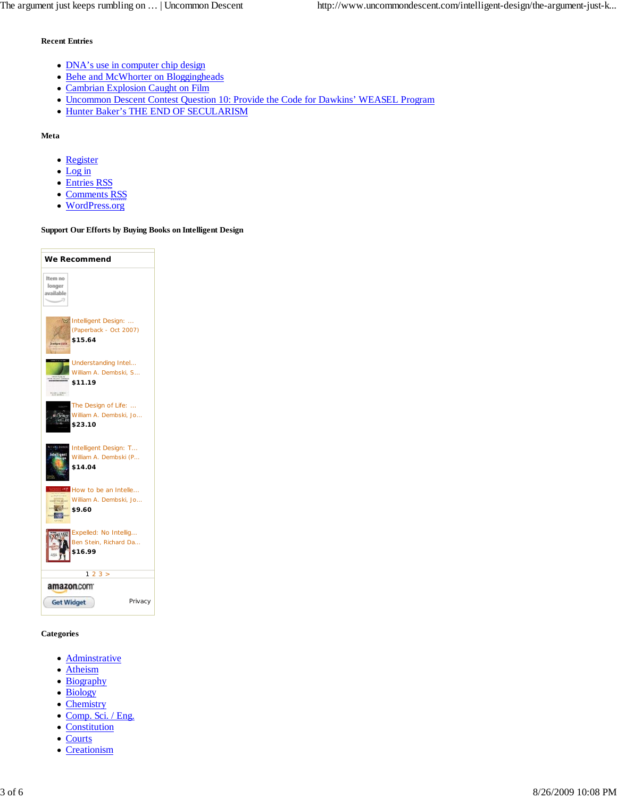#### **Recent Entries**

- DNA's use in computer chip design
- Behe and McWhorter on Bloggingheads
- Cambrian Explosion Caught on Film
- Uncommon Descent Contest Question 10: Provide the Code for Dawkins' WEASEL Program
- Hunter Baker's THE END OF SECULARISM

#### **Meta**

- Register
- Log in
- Entries RSS
- Comments RSS
- WordPress.org

#### **Support Our Efforts by Buying Books on Intelligent Design**

| We Recommend                                                                                 |
|----------------------------------------------------------------------------------------------|
| Item no<br>longer<br>available                                                               |
| Intelligent Design:<br>(Paperback - Oct 2007)<br>\$15.64                                     |
| Understanding Intel<br>William A. Dembski, S<br>\$11.19<br>FULLOS A. DEMOLIO                 |
| The Design of Life:<br>William A. Dembski, Jo<br>áan<br>\$23.10                              |
| <b>A Dentré</b><br>Intelligent Design: T<br>intelligent<br>William A. Dembski (P<br>\$14.04  |
| How to be an Intelle<br>William A. Dembski, Jo<br>DON'T TO SELON<br><b>Barbara</b><br>\$9.60 |
| Expelled: No Intellig<br>Ben Stein, Richard Da<br>\$16.99                                    |
| 23 ><br>1                                                                                    |
| amazon.com                                                                                   |
| <b>Get Widget</b><br>Privacy                                                                 |

#### **Categories**

- Adminstrative
- Atheism
- Biography
- Biology
- Chemistry
- Comp. Sci. / Eng.
- Constitution
- Courts
- Creationism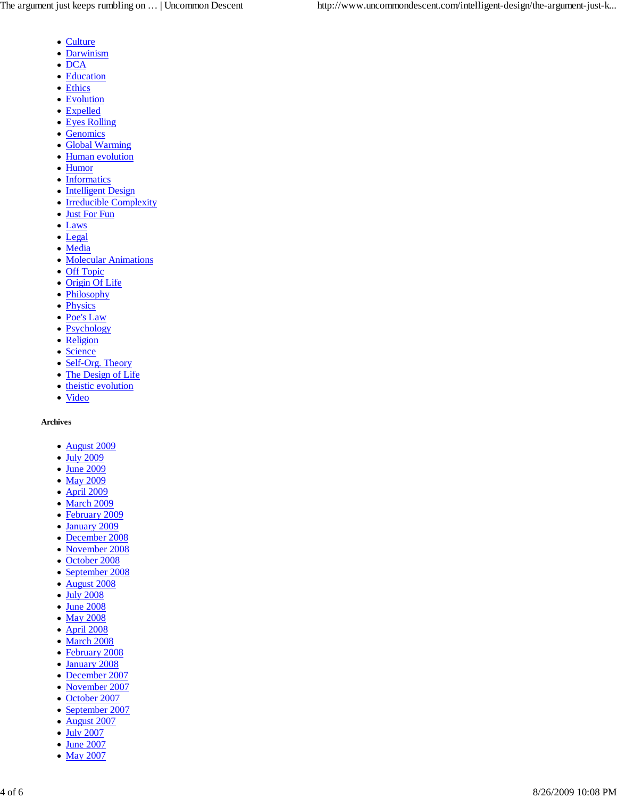- Culture
- Darwinism
- $\bullet$  DCA
- Education
- Ethics
- Evolution
- Expelled
- Eyes Rolling
- Genomics
- Global Warming
- Human evolution
- Humor
- Informatics
- Intelligent Design
- Irreducible Complexity
- Just For Fun
- Laws
- Legal
- Media
- Molecular Animations
- Off Topic
- Origin Of Life
- Philosophy
- Physics
- Poe's Law
- Psychology
- Religion
- Science
- Self-Org. Theory
- The Design of Life
- theistic evolution
- Video

#### **Archives**

- August 2009
- July 2009
- June 2009
- May 2009
- April 2009
- March 2009
- February 2009
- January 2009
- December 2008
- November 2008
- October 2008
- September 2008
- August 2008
- July 2008
- June 2008
- May 2008
- April 2008
- March 2008
- February 2008
- January 2008  $\bullet$
- December 2007
- November 2007
- October 2007
- September 2007
- August 2007
- July 2007
- June 2007
- May 2007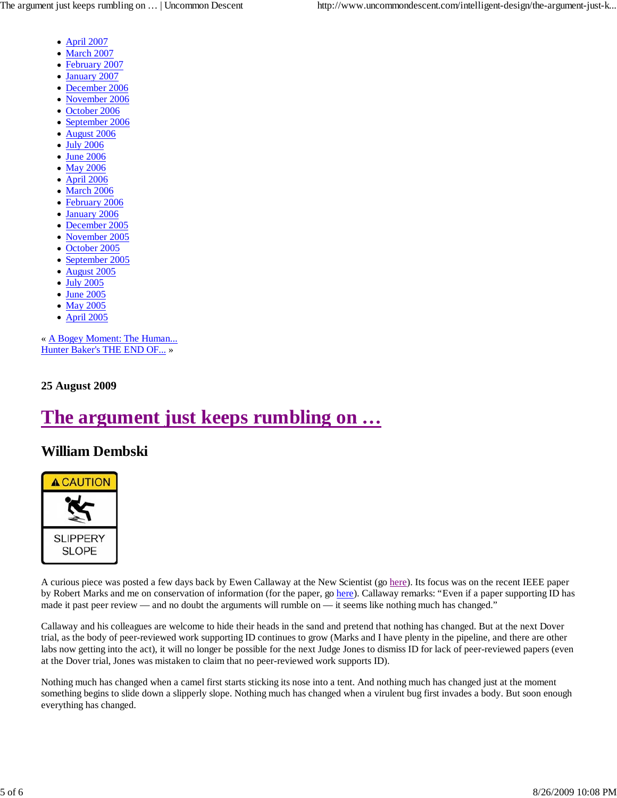- April 2007
- March 2007
- February 2007
- January 2007
- December 2006
- November 2006  $\bullet$
- October 2006  $\bullet$
- September 2006
- August 2006
- July 2006
- June 2006
- May 2006
- April 2006  $\bullet$
- March 2006
- February 2006
- January 2006
- December 2005
- November 2005
- October 2005  $\bullet$
- September 2005  $\bullet$
- August 2005
- July 2005
- June 2005
- May 2005
- April 2005

« A Bogey Moment: The Human... Hunter Baker's THE END OF... »

**25 August 2009**

## **The argument just keeps rumbling on …**

### **William Dembski**



A curious piece was posted a few days back by Ewen Callaway at the New Scientist (go here). Its focus was on the recent IEEE paper by Robert Marks and me on conservation of information (for the paper, go here). Callaway remarks: "Even if a paper supporting ID has made it past peer review — and no doubt the arguments will rumble on — it seems like nothing much has changed."

Callaway and his colleagues are welcome to hide their heads in the sand and pretend that nothing has changed. But at the next Dover trial, as the body of peer-reviewed work supporting ID continues to grow (Marks and I have plenty in the pipeline, and there are other labs now getting into the act), it will no longer be possible for the next Judge Jones to dismiss ID for lack of peer-reviewed papers (even at the Dover trial, Jones was mistaken to claim that no peer-reviewed work supports ID).

Nothing much has changed when a camel first starts sticking its nose into a tent. And nothing much has changed just at the moment something begins to slide down a slipperly slope. Nothing much has changed when a virulent bug first invades a body. But soon enough everything has changed.